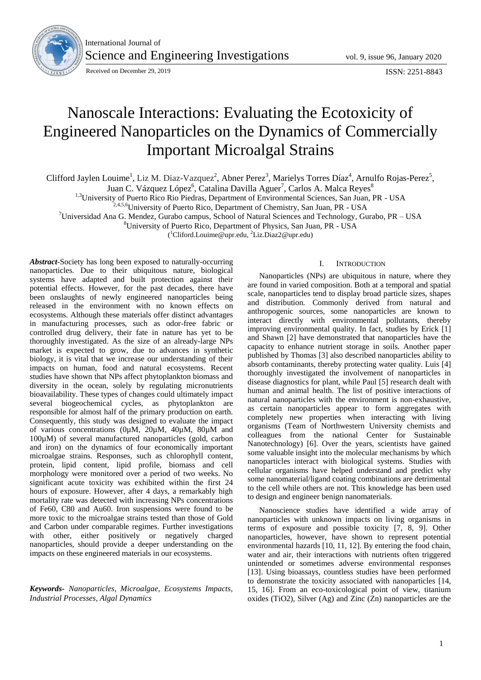

International Journal of Science and Engineering Investigations vol. 9, issue 96, January 2020

Received on December 29, 2019 **ISSN: 2251-8843** 

# Nanoscale Interactions: Evaluating the Ecotoxicity of Engineered Nanoparticles on the Dynamics of Commercially Important Microalgal Strains

Clifford Jaylen Louime<sup>1</sup>, Liz M. Diaz-Vazquez<sup>2</sup>, Abner Perez<sup>3</sup>, Marielys Torres Díaz<sup>4</sup>, Arnulfo Rojas-Perez<sup>5</sup>,

Juan C. Vázquez López<sup>6</sup>, Catalina Davilla Aguer<sup>7</sup>, Carlos A. Malca Reyes<sup>8</sup>

<sup>1,3</sup>University of Puerto Rico Rio Piedras, Department of Environmental Sciences, San Juan, PR - USA

 $^{2,4,5,6}$ University of Puerto Rico, Department of Chemistry, San Juan, PR - USA

<sup>7</sup>Universidad Ana G. Mendez, Gurabo campus, School of Natural Sciences and Technology, Gurabo, PR – USA

<sup>8</sup>University of Puerto Rico, Department of Physics, San Juan, PR - USA

( <sup>1</sup>Cliford.Louime@upr.edu, <sup>2</sup>Liz.Diaz2@upr.edu)

*Abstract*-Society has long been exposed to naturally-occurring nanoparticles. Due to their ubiquitous nature, biological systems have adapted and built protection against their potential effects. However, for the past decades, there have been onslaughts of newly engineered nanoparticles being released in the environment with no known effects on ecosystems. Although these materials offer distinct advantages in manufacturing processes, such as odor-free fabric or controlled drug delivery, their fate in nature has yet to be thoroughly investigated. As the size of an already-large NPs market is expected to grow, due to advances in synthetic biology, it is vital that we increase our understanding of their impacts on human, food and natural ecosystems. Recent studies have shown that NPs affect phytoplankton biomass and diversity in the ocean, solely by regulating micronutrients bioavailability. These types of changes could ultimately impact several biogeochemical cycles, as phytoplankton are responsible for almost half of the primary production on earth. Consequently, this study was designed to evaluate the impact of various concentrations  $(0\mu M, 20\mu M, 40\mu M, 80\mu M$  and 100µM) of several manufactured nanoparticles (gold, carbon and iron) on the dynamics of four economically important microalgae strains. Responses, such as chlorophyll content, protein, lipid content, lipid profile, biomass and cell morphology were monitored over a period of two weeks. No significant acute toxicity was exhibited within the first 24 hours of exposure. However, after 4 days, a remarkably high mortality rate was detected with increasing NPs concentrations of Fe60, C80 and Au60. Iron suspensions were found to be more toxic to the microalgae strains tested than those of Gold and Carbon under comparable regimes. Further investigations with other, either positively or negatively charged nanoparticles, should provide a deeper understanding on the impacts on these engineered materials in our ecosystems.

*Keywords- Nanoparticles, Microalgae, Ecosystems Impacts, Industrial Processes, Algal Dynamics*

## I. INTRODUCTION

Nanoparticles (NPs) are ubiquitous in nature, where they are found in varied composition. Both at a temporal and spatial scale, nanoparticles tend to display broad particle sizes, shapes and distribution. Commonly derived from natural and anthropogenic sources, some nanoparticles are known to interact directly with environmental pollutants, thereby improving environmental quality. In fact, studies by Erick [1] and Shawn [2] have demonstrated that nanoparticles have the capacity to enhance nutrient storage in soils. Another paper published by Thomas [3] also described nanoparticles ability to absorb contaminants, thereby protecting water quality. Luis [4] thoroughly investigated the involvement of nanoparticles in disease diagnostics for plant, while Paul [5] research dealt with human and animal health. The list of positive interactions of natural nanoparticles with the environment is non-exhaustive, as certain nanoparticles appear to form aggregates with completely new properties when interacting with living organisms (Team of Northwestern University chemists and colleagues from the national Center for Sustainable Nanotechnology) [6]. Over the years, scientists have gained some valuable insight into the molecular mechanisms by which nanoparticles interact with biological systems. Studies with cellular organisms have helped understand and predict why some nanomaterial/ligand coating combinations are detrimental to the cell while others are not. This knowledge has been used to design and engineer benign nanomaterials.

Nanoscience studies have identified a wide array of nanoparticles with unknown impacts on living organisms in terms of exposure and possible toxicity [7, 8, 9]. Other nanoparticles, however, have shown to represent potential environmental hazards [10, 11, 12]. By entering the food chain, water and air, their interactions with nutrients often triggered unintended or sometimes adverse environmental responses [13]. Using bioassays, countless studies have been performed to demonstrate the toxicity associated with nanoparticles [14, 15, 16]. From an eco-toxicological point of view, titanium oxides (TiO2), Silver (Ag) and Zinc (Zn) nanoparticles are the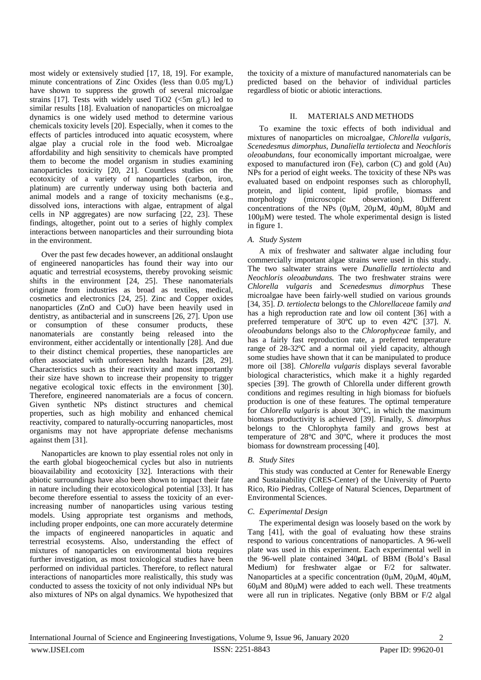most widely or extensively studied [17, 18, 19]. For example, minute concentrations of Zinc Oxides (less than 0.05 mg/L) have shown to suppress the growth of several microalgae strains [17]. Tests with widely used TiO2 ( $\leq$ 5m g/L) led to similar results [18]. Evaluation of nanoparticles on microalgae dynamics is one widely used method to determine various chemicals toxicity levels [20]. Especially, when it comes to the effects of particles introduced into aquatic ecosystem, where algae play a crucial role in the food web. Microalgae affordability and high sensitivity to chemicals have prompted them to become the model organism in studies examining nanoparticles toxicity [20, 21]. Countless studies on the ecotoxicity of a variety of nanoparticles (carbon, iron, platinum) are currently underway using both bacteria and animal models and a range of toxicity mechanisms (e.g., dissolved ions, interactions with algae, entrapment of algal cells in NP aggregates) are now surfacing [22, 23]. These findings, altogether, point out to a series of highly complex interactions between nanoparticles and their surrounding biota in the environment.

Over the past few decades however, an additional onslaught of engineered nanoparticles has found their way into our aquatic and terrestrial ecosystems, thereby provoking seismic shifts in the environment [24, 25]. These nanomaterials originate from industries as broad as textiles, medical, cosmetics and electronics [24, 25]. Zinc and Copper oxides nanoparticles (ZnO and CuO) have been heavily used in dentistry, as antibacterial and in sunscreens [26, 27]. Upon use or consumption of these consumer products, these nanomaterials are constantly being released into the environment, either accidentally or intentionally [28]. And due to their distinct chemical properties, these nanoparticles are often associated with unforeseen health hazards [28, 29]. Characteristics such as their reactivity and most importantly their size have shown to increase their propensity to trigger negative ecological toxic effects in the environment [30]. Therefore, engineered nanomaterials are a focus of concern. Given synthetic NPs distinct structures and chemical properties, such as high mobility and enhanced chemical reactivity, compared to naturally-occurring nanoparticles, most organisms may not have appropriate defense mechanisms against them [31].

Nanoparticles are known to play essential roles not only in the earth global biogeochemical cycles but also in nutrients bioavailability and ecotoxicity [32]. Interactions with their abiotic surroundings have also been shown to impact their fate in nature including their ecotoxicological potential [33]. It has become therefore essential to assess the toxicity of an everincreasing number of nanoparticles using various testing models. Using appropriate test organisms and methods, including proper endpoints, one can more accurately determine the impacts of engineered nanoparticles in aquatic and terrestrial ecosystems. Also, understanding the effect of mixtures of nanoparticles on environmental biota requires further investigation, as most toxicological studies have been performed on individual particles. Therefore, to reflect natural interactions of nanoparticles more realistically, this study was conducted to assess the toxicity of not only individual NPs but also mixtures of NPs on algal dynamics. We hypothesized that

the toxicity of a mixture of manufactured nanomaterials can be predicted based on the behavior of individual particles regardless of biotic or abiotic interactions.

# II. MATERIALS AND METHODS

To examine the toxic effects of both individual and mixtures of nanoparticles on microalgae, *Chlorella vulgaris, Scenedesmus dimorphus*, *Dunaliella tertiolecta* and *Neochloris oleoabundans*, four economically important microalgae, were exposed to manufactured iron (Fe), carbon (C) and gold (Au) NPs for a period of eight weeks. The toxicity of these NPs was evaluated based on endpoint responses such as chlorophyll, protein, and lipid content, lipid profile, biomass and morphology (microscopic observation). Different concentrations of the NPs (0µM, 20µM, 40µM, 80µM and 100µM) were tested. The whole experimental design is listed in figure 1.

# *A. Study System*

A mix of freshwater and saltwater algae including four commercially important algae strains were used in this study. The two saltwater strains were *Dunaliella tertiolecta* and *Neochloris oleoabundans.* The two freshwater strains were *Chlorella vulgaris* and *Scenedesmus dimorphus* These microalgae have been fairly-well studied on various grounds [34, 35]. *D. tertiolecta* belongs to the *Chlorellaceae* family *and*  has a high reproduction rate and low oil content [36] with a preferred temperature of 30℃ up to even 42℃ [37]. *N. oleoabundans* belongs also to the *Chlorophyceae* family, and has a fairly fast reproduction rate, a preferred temperature range of 28-32℃ and a normal oil yield capacity, although some studies have shown that it can be manipulated to produce more oil [38]. *Chlorella vulgaris* displays several favorable biological characteristics, which make it a highly regarded species [39]. The growth of Chlorella under different growth conditions and regimes resulting in high biomass for biofuels production is one of these features. The optimal temperature for *Chlorella vulgaris* is about 30°C, in which the maximum biomass productivity is achieved [39]. Finally, *S. dimorphus* belongs to the Chlorophyta family and grows best at temperature of 28℃ and 30℃, where it produces the most biomass for downstream processing [40].

# *B. Study Sites*

This study was conducted at Center for Renewable Energy and Sustainability (CRES-Center) of the University of Puerto Rico, Rio Piedras, College of Natural Sciences, Department of Environmental Sciences.

# *C. Experimental Design*

The experimental design was loosely based on the work by Tang [41], with the goal of evaluating how these strains respond to various concentrations of nanoparticles. A 96-well plate was used in this experiment. Each experimental well in the 96-well plate contained  $340\mu$ L of BBM (Bold's Basal Medium) for freshwater algae or F/2 for saltwater. Nanoparticles at a specific concentration (0µM, 20µM, 40µM,  $60\mu$ M and  $80\mu$ M) were added to each well. These treatments were all run in triplicates. Negative (only BBM or F/2 algal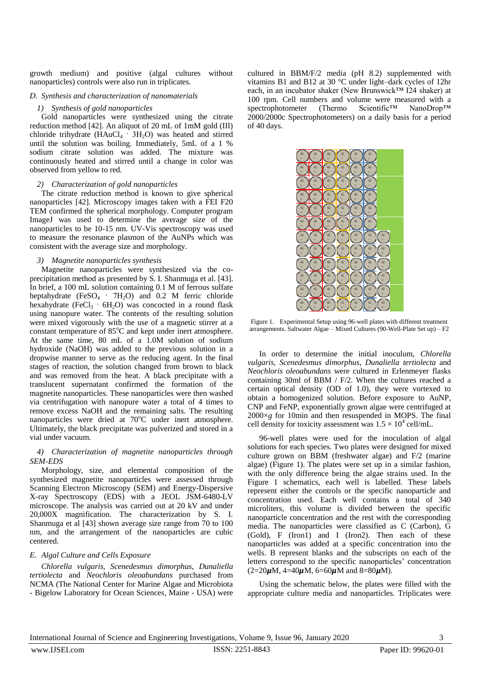growth medium) and positive (algal cultures without nanoparticles) controls were also run in triplicates.

# *D. Synthesis and characterization of nanomaterials*

# *1) Synthesis of gold nanoparticles*

Gold nanoparticles were synthesized using the citrate reduction method [42]. An aliquot of 20 mL of 1mM gold (III) chloride trihydrate ( $HAuCl<sub>4</sub> \cdot 3H<sub>2</sub>O$ ) was heated and stirred until the solution was boiling. Immediately, 5mL of a 1 % sodium citrate solution was added. The mixture was continuously heated and stirred until a change in color was observed from yellow to red.

# *2) Characterization of gold nanoparticles*

The citrate reduction method is known to give spherical nanoparticles [42]. Microscopy images taken with a FEI F20 TEM confirmed the spherical morphology. Computer program ImageJ was used to determine the average size of the nanoparticles to be 10-15 nm. UV-Vis spectroscopy was used to measure the resonance plasmon of the AuNPs which was consistent with the average size and morphology.

# *3) Magnetite nanoparticles synthesis*

Magnetite nanoparticles were synthesized via the coprecipitation method as presented by S. I. Shanmuga et al. [43]. In brief, a 100 mL solution containing 0.1 M of ferrous sulfate heptahydrate (FeSO<sub>4</sub> · 7H<sub>2</sub>O) and 0.2 M ferric chloride hexahydrate (FeCl<sub>3</sub> ·  $6H_2O$ ) was concocted in a round flask using nanopure water. The contents of the resulting solution were mixed vigorously with the use of a magnetic stirrer at a constant temperature of 85°C and kept under inert atmosphere. At the same time, 80 mL of a 1.0M solution of sodium hydroxide (NaOH) was added to the previous solution in a dropwise manner to serve as the reducing agent. In the final stages of reaction, the solution changed from brown to black and was removed from the heat. A black precipitate with a translucent supernatant confirmed the formation of the magnetite nanoparticles. These nanoparticles were then washed via centrifugation with nanopure water a total of 4 times to remove excess NaOH and the remaining salts. The resulting nanoparticles were dried at 70°C under inert atmosphere. Ultimately, the black precipitate was pulverized and stored in a vial under vacuum.

# *4) Characterization of magnetite nanoparticles through SEM-EDS*

Morphology, size, and elemental composition of the synthesized magnetite nanoparticles were assessed through Scanning Electron Microscopy (SEM) and Energy-Dispersive X-ray Spectroscopy (EDS) with a JEOL JSM-6480-LV microscope. The analysis was carried out at 20 kV and under 20,000X magnification. The characterization by S. I. Shanmuga et al [43] shown average size range from 70 to 100 nm, and the arrangement of the nanoparticles are cubic centered.

# *E. Algal Culture and Cells Exposure*

*Chlorella vulgaris, Scenedesmus dimorphus*, *Dunaliella tertiolecta* and *Neochloris oleoabundans* purchased from NCMA (The National Center for Marine Algae and Microbiota - Bigelow Laboratory for Ocean Sciences, Maine - USA) were cultured in BBM/F/2 media (pH 8.2) supplemented with vitamins B1 and B12 at 30 °C under light–dark cycles of 12hr each, in an incubator shaker (New Brunswick™ I24 shaker) at 100 rpm. Cell numbers and volume were measured with a spectrophotometer (Thermo Scientific™ NanoDrop™ 2000/2000c Spectrophotometers) on a daily basis for a period of 40 days.



Figure 1. Experimental Setup using 96-well plates with different treatment arrangements. Saltwater Algae – Mixed Cultures (90-Well-Plate Set up) – F2

In order to determine the initial inoculum, *Chlorella vulgaris, Scenedesmus dimorphus*, *Dunaliella tertiolecta* and *Neochloris oleoabundans* were cultured in Erlenmeyer flasks containing 30ml of BBM / F/2. When the cultures reached a certain optical density (OD of 1.0), they were vortexed to obtain a homogenized solution. Before exposure to AuNP, CNP and FeNP, exponentially grown algae were centrifuged at 2000×*g* for 10min and then resuspended in MOPS. The final cell density for toxicity assessment was  $1.5 \times 10^4$  cell/mL.

96-well plates were used for the inoculation of algal solutions for each species. Two plates were designed for mixed culture grown on BBM (freshwater algae) and F/2 (marine algae) (Figure 1). The plates were set up in a similar fashion, with the only difference being the algae strains used. In the Figure 1 schematics, each well is labelled. These labels represent either the controls or the specific nanoparticle and concentration used. Each well contains a total of 340 microliters, this volume is divided between the specific nanoparticle concentration and the rest with the corresponding media. The nanoparticles were classified as C (Carbon), G (Gold), F (Iron1) and I (Iron2). Then each of these nanoparticles was added at a specific concentration into the wells. B represent blanks and the subscripts on each of the letters correspond to the specific nanoparticles' concentration  $(2=20\mu M, 4=40\mu M, 6=60\mu M$  and  $8=80\mu M$ ).

Using the schematic below, the plates were filled with the appropriate culture media and nanoparticles. Triplicates were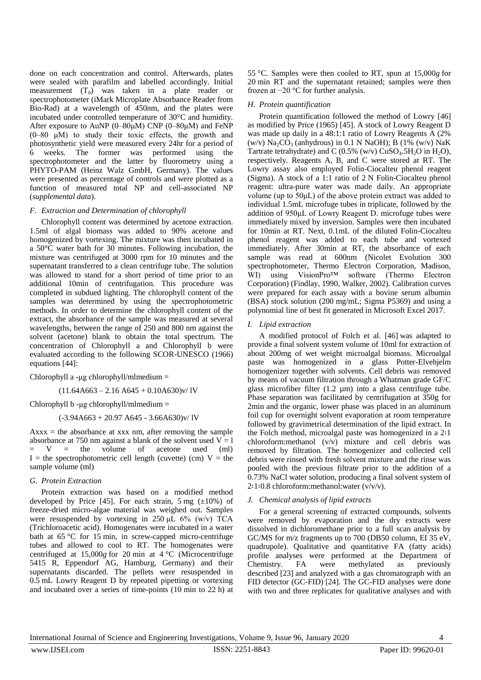done on each concentration and control. Afterwards, plates were sealed with parafilm and labelled accordingly. Initial measurement  $(T_0)$  was taken in a plate reader or spectrophotometer (iMark Microplate Absorbance Reader from Bio-Rad) at a wavelength of 450nm, and the plates were incubated under controlled temperature of 30°C and humidity. After exposure to AuNP ( $0-80\mu$ M) CNP ( $0-80\mu$ M) and FeNP (0–80 μM) to study their toxic effects, the growth and photosynthetic yield were measured every 24hr for a period of 6 weeks. The former was performed using the spectrophotometer and the latter by fluorometry using a PHYTO-PAM (Heinz Walz GmbH, Germany). The values were presented as percentage of controls and were plotted as a function of measured total NP and cell-associated NP (*supplemental data*).

# *F. Extraction and Determination of chlorophyll*

Chlorophyll content was determined by acetone extraction. 1.5ml of algal biomass was added to 90% acetone and homogenized by vortexing. The mixture was then incubated in a 50°C water bath for 30 minutes. Following incubation, the mixture was centrifuged at 3000 rpm for 10 minutes and the supernatant transferred to a clean centrifuge tube. The solution was allowed to stand for a short period of time prior to an additional 10min of centrifugation. This procedure was completed in subdued lighting. The chlorophyll content of the samples was determined by using the spectrophotometric methods. In order to determine the chlorophyll content of the extract, the absorbance of the sample was measured at several wavelengths, between the range of 250 and 800 nm against the solvent (acetone) blank to obtain the total spectrum. The concentration of Chlorophyll a and Chlorophyll b were evaluated according to the following SCOR-UNESCO (1966) equations [44]:

Chlorophyll a -μg chlorophyll/mlmedium =

 $(11.64A663 - 2.16A645 + 0.10A630)v/1V$ 

Chlorophyll b -μg chlorophyll/mlmedium =

(-3.94A663 + 20.97 A645 - 3.66A630)v/ lV

 $Axxxx =$  the absorbance at xxx nm, after removing the sample absorbance at 750 nm against a blank of the solvent used  $V = 1$ <br>=  $V =$  the volume of acetone used (ml)  $=$  V  $=$  the volume of acetone used I = the spectrophotometric cell length (cuvette) (cm)  $V =$  the sample volume (ml)

# *G. Protein Extraction*

Protein extraction was based on a modified method developed by Price [45]. For each strain, 5 mg  $(\pm 10\%)$  of freeze-dried micro-algae material was weighed out. Samples were resuspended by vortexing in 250  $\mu$ L 6% (w/v) TCA (Trichloroacetic acid). Homogenates were incubated in a water bath at 65 °C for 15 min, in screw-capped micro-centrifuge tubes and allowed to cool to RT. The homogenates were centrifuged at 15,000*g* for 20 min at 4 °C (Microcentrifuge 5415 R, Eppendorf AG, Hamburg, Germany) and their supernatants discarded. The pellets were resuspended in 0.5 mL Lowry Reagent D by repeated pipetting or vortexing and incubated over a series of time-points (10 min to 22 h) at 55 °C. Samples were then cooled to RT, spun at 15,000*g* for 20 min RT and the supernatant retained; samples were then frozen at −20 °C for further analysis.

## *H. Protein quantification*

Protein quantification followed the method of Lowry [46] as modified by Price (1965) [45]. A stock of Lowry Reagent D was made up daily in a 48:1:1 ratio of Lowry Reagents A (2% (w/v)  $Na_2CO_3$  (anhydrous) in 0.1 N NaOH); B (1% (w/v) NaK Tartrate tetrahydrate) and C (0.5% (w/v)  $CuSO<sub>4</sub>$ .5H<sub>2</sub>O in H<sub>2</sub>O), respectively. Reagents A, B, and C were stored at RT. The Lowry assay also employed Folin-Ciocalteu phenol reagent (Sigma). A stock of a 1:1 ratio of 2 N Folin-Ciocalteu phenol reagent: ultra-pure water was made daily. An appropriate volume (up to 50μL) of the above protein extract was added to individual 1.5mL microfuge tubes in triplicate, followed by the addition of 950μL of Lowry Reagent D. microfuge tubes were immediately mixed by inversion. Samples were then incubated for 10min at RT. Next, 0.1mL of the diluted Folin-Ciocalteu phenol reagent was added to each tube and vortexed immediately. After 30min at RT, the absorbance of each sample was read at 600nm (Nicolet Evolution 300 spectrophotometer, Thermo Electron Corporation, Madison, WI) using VisionPro™ software (Thermo Electron Corporation) (Findlay, 1990, Walker, 2002). Calibration curves were prepared for each assay with a bovine serum albumin (BSA) stock solution (200 mg/mL; Sigma P5369) and using a polynomial line of best fit generated in Microsoft Excel 2017.

# *I. Lipid extraction*

A modified protocol of Folch et al. [46] was adapted to provide a final solvent system volume of 10ml for extraction of about 200mg of wet weight microalgal biomass. Microalgal paste was homogenized in a glass Potter-Elvehjelm homogenizer together with solvents. Cell debris was removed by means of vacuum filtration through a Whatman grade GF/C glass microfiber filter  $(1.2 \mu m)$  into a glass centrifuge tube. Phase separation was facilitated by centrifugation at 350g for 2min and the organic, lower phase was placed in an aluminum foil cup for overnight solvent evaporation at room temperature followed by gravimetrical determination of the lipid extract. In the Folch method, microalgal paste was homogenized in a 2∶1 chloroform:methanol (v/v) mixture and cell debris was removed by filtration. The homogenizer and collected cell debris were rinsed with fresh solvent mixture and the rinse was pooled with the previous filtrate prior to the addition of a 0.73% NaCl water solution, producing a final solvent system of 2∶1∶0.8 chloroform:methanol:water (v/v/v).

# *J. Chemical analysis of lipid extracts*

For a general screening of extracted compounds, solvents were removed by evaporation and the dry extracts were dissolved in dichloromethane prior to a full scan analysis by GC/MS for m/z fragments up to 700 (DB50 column, EI 35 eV, quadrupole). Qualitative and quantitative FA (fatty acids) profile analyses were performed at the Department of Chemistry. FA were methylated as previously described [23] and analyzed with a gas chromatograph with an FID detector (GC-FID) [24]. The GC-FID analyses were done with two and three replicates for qualitative analyses and with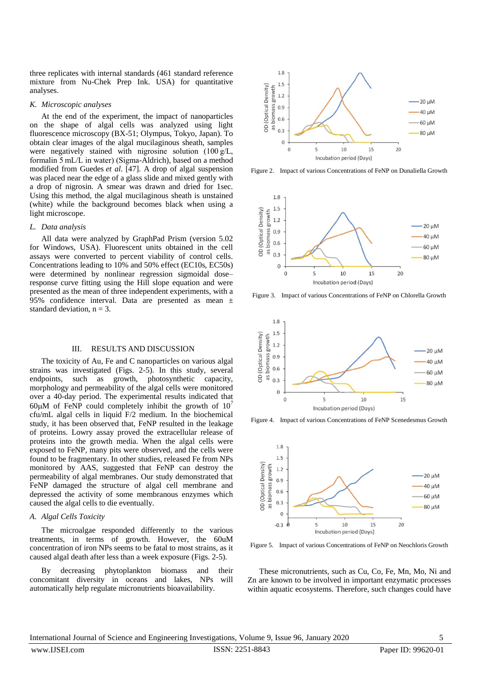three replicates with internal standards (461 standard reference mixture from Nu-Chek Prep Ink. USA) for quantitative analyses.

### *K. Microscopic analyses*

At the end of the experiment, the impact of nanoparticles on the shape of algal cells was analyzed using light fluorescence microscopy (BX-51; Olympus, Tokyo, Japan). To obtain clear images of the algal mucilaginous sheath, samples were negatively stained with nigrosine solution (100 g/L, formalin 5 mL/L in water) (Sigma-Aldrich), based on a method modified from Guedes *et al*. [47]. A drop of algal suspension was placed near the edge of a glass slide and mixed gently with a drop of nigrosin. A smear was drawn and dried for 1sec. Using this method, the algal mucilaginous sheath is unstained (white) while the background becomes black when using a light microscope.

# *L. Data analysis*

All data were analyzed by GraphPad Prism (version 5.02 for Windows, USA). Fluorescent units obtained in the cell assays were converted to percent viability of control cells. Concentrations leading to 10% and 50% effect (EC10s, EC50s) were determined by nonlinear regression sigmoidal dose– response curve fitting using the Hill slope equation and were presented as the mean of three independent experiments, with a 95% confidence interval. Data are presented as mean ± standard deviation,  $n = 3$ .

#### III. RESULTS AND DISCUSSION

The toxicity of Au, Fe and C nanoparticles on various algal strains was investigated (Figs. 2-5). In this study, several endpoints, such as growth, photosynthetic capacity, morphology and permeability of the algal cells were monitored over a 40-day period. The experimental results indicated that 60 $\mu$ M of FeNP could completely inhibit the growth of 10<sup>7</sup> cfu/mL algal cells in liquid F/2 medium. In the biochemical study, it has been observed that, FeNP resulted in the leakage of proteins. Lowry assay proved the extracellular release of proteins into the growth media. When the algal cells were exposed to FeNP, many pits were observed, and the cells were found to be fragmentary. In other studies, released Fe from NPs monitored by AAS, suggested that FeNP can destroy the permeability of algal membranes. Our study demonstrated that FeNP damaged the structure of algal cell membrane and depressed the activity of some membranous enzymes which caused the algal cells to die eventually.

## *A. Algal Cells Toxicity*

The microalgae responded differently to the various treatments, in terms of growth. However, the 60uM concentration of iron NPs seems to be fatal to most strains, as it caused algal death after less than a week exposure (Figs. 2-5).

By decreasing phytoplankton biomass and their concomitant diversity in oceans and lakes, NPs will automatically help regulate micronutrients bioavailability.



Figure 2. Impact of various Concentrations of FeNP on Dunaliella Growth



Figure 3. Impact of various Concentrations of FeNP on Chlorella Growth



Figure 4. Impact of various Concentrations of FeNP Scenedesmus Growth



Figure 5. Impact of various Concentrations of FeNP on Neochloris Growth

These micronutrients, such as Cu, Co, Fe, Mn, Mo, Ni and Zn are known to be involved in important enzymatic processes within aquatic ecosystems. Therefore, such changes could have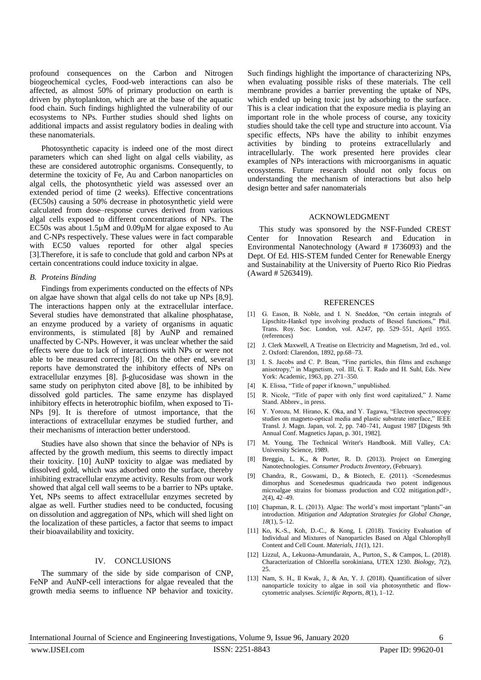profound consequences on the Carbon and Nitrogen biogeochemical cycles, Food-web interactions can also be affected, as almost 50% of primary production on earth is driven by phytoplankton, which are at the base of the aquatic food chain. Such findings highlighted the vulnerability of our ecosystems to NPs. Further studies should shed lights on additional impacts and assist regulatory bodies in dealing with these nanomaterials.

Photosynthetic capacity is indeed one of the most direct parameters which can shed light on algal cells viability, as these are considered autotrophic organisms. Consequently, to determine the toxicity of Fe, Au and Carbon nanoparticles on algal cells, the photosynthetic yield was assessed over an extended period of time (2 weeks). Effective concentrations (EC50s) causing a 50% decrease in photosynthetic yield were calculated from dose–response curves derived from various algal cells exposed to different concentrations of NPs. The EC50s was about 1.5µM and 0.09µM for algae exposed to Au and C-NPs respectively. These values were in fact comparable with EC50 values reported for other algal species [3].Therefore, it is safe to conclude that gold and carbon NPs at certain concentrations could induce toxicity in algae.

#### *B. Proteins Binding*

Findings from experiments conducted on the effects of NPs on algae have shown that algal cells do not take up NPs [8,9]. The interactions happen only at the extracellular interface. Several studies have demonstrated that alkaline phosphatase, an enzyme produced by a variety of organisms in aquatic environments, is stimulated [8] by AuNP and remained unaffected by C-NPs. However, it was unclear whether the said effects were due to lack of interactions with NPs or were not able to be measured correctly [8]. On the other end, several reports have demonstrated the inhibitory effects of NPs on extracellular enzymes [8]. β-glucosidase was shown in the same study on periphyton cited above [8], to be inhibited by dissolved gold particles. The same enzyme has displayed inhibitory effects in heterotrophic biofilm, when exposed to Ti-NPs [9]. It is therefore of utmost importance, that the interactions of extracellular enzymes be studied further, and their mechanisms of interaction better understood.

Studies have also shown that since the behavior of NPs is affected by the growth medium, this seems to directly impact their toxicity. [10] AuNP toxicity to algae was mediated by dissolved gold, which was adsorbed onto the surface, thereby inhibiting extracellular enzyme activity. Results from our work showed that algal cell wall seems to be a barrier to NPs uptake. Yet, NPs seems to affect extracellular enzymes secreted by algae as well. Further studies need to be conducted, focusing on dissolution and aggregation of NPs, which will shed light on the localization of these particles, a factor that seems to impact their bioavailability and toxicity.

## IV. CONCLUSIONS

The summary of the side by side comparison of CNP, FeNP and AuNP-cell interactions for algae revealed that the growth media seems to influence NP behavior and toxicity. Such findings highlight the importance of characterizing NPs, when evaluating possible risks of these materials. The cell membrane provides a barrier preventing the uptake of NPs, which ended up being toxic just by adsorbing to the surface. This is a clear indication that the exposure media is playing an important role in the whole process of course, any toxicity studies should take the cell type and structure into account. Via specific effects, NPs have the ability to inhibit enzymes activities by binding to proteins extracellularly and intracellularly. The work presented here provides clear examples of NPs interactions with microorganisms in aquatic ecosystems. Future research should not only focus on understanding the mechanism of interactions but also help design better and safer nanomaterials

#### ACKNOWLEDGMENT

This study was sponsored by the NSF-Funded CREST Center for Innovation Research and Education in Environmental Nanotechnology (Award # 1736093) and the Dept. Of Ed. HIS-STEM funded Center for Renewable Energy and Sustainability at the University of Puerto Rico Rio Piedras (Award # 5263419).

#### REFERENCES

- [1] G. Eason, B. Noble, and I. N. Sneddon, "On certain integrals of Lipschitz-Hankel type involving products of Bessel functions," Phil. Trans. Roy. Soc. London, vol. A247, pp. 529–551, April 1955. (references)
- [2] J. Clerk Maxwell, A Treatise on Electricity and Magnetism, 3rd ed., vol. 2. Oxford: Clarendon, 1892, pp.68–73.
- [3] I. S. Jacobs and C. P. Bean, "Fine particles, thin films and exchange anisotropy," in Magnetism, vol. III, G. T. Rado and H. Suhl, Eds. New York: Academic, 1963, pp. 271–350.
- [4] K. Elissa, "Title of paper if known," unpublished.
- [5] R. Nicole, "Title of paper with only first word capitalized," J. Name Stand. Abbrev., in press.
- [6] Y. Yorozu, M. Hirano, K. Oka, and Y. Tagawa, "Electron spectroscopy studies on magneto-optical media and plastic substrate interface," IEEE Transl. J. Magn. Japan, vol. 2, pp. 740–741, August 1987 [Digests 9th Annual Conf. Magnetics Japan, p. 301, 1982].
- [7] M. Young, The Technical Writer's Handbook. Mill Valley, CA: University Science, 1989.
- [8] Breggin, L. K., & Porter, R. D. (2013). Project on Emerging Nanotechnologies. *Consumer Products Inventory*, (February).
- [9] Chandra, R., Goswami, D., & Biotech, E. (2011). <Scenedesmus dimorphus and Scenedesmus quadricauda two potent indigenous microalgae strains for biomass production and CO2 mitigation.pdf>, *2*(4), 42–49.
- [10] Chapman, R. L. (2013). Algae: The world's most important "plants"-an introduction. *Mitigation and Adaptation Strategies for Global Change*, *18*(1), 5–12.
- [11] Ko, K.-S., Koh, D.-C., & Kong, I. (2018). Toxicity Evaluation of Individual and Mixtures of Nanoparticles Based on Algal Chlorophyll Content and Cell Count. *Materials*, *11*(1), 121.
- [12] Lizzul, A., Lekuona-Amundarain, A., Purton, S., & Campos, L. (2018). Characterization of Chlorella sorokiniana, UTEX 1230. *Biology*, *7*(2), 25.
- [13] Nam, S. H., Il Kwak, J., & An, Y. J. (2018). Quantification of silver nanoparticle toxicity to algae in soil via photosynthetic and flowcytometric analyses. *Scientific Reports*, *8*(1), 1–12.